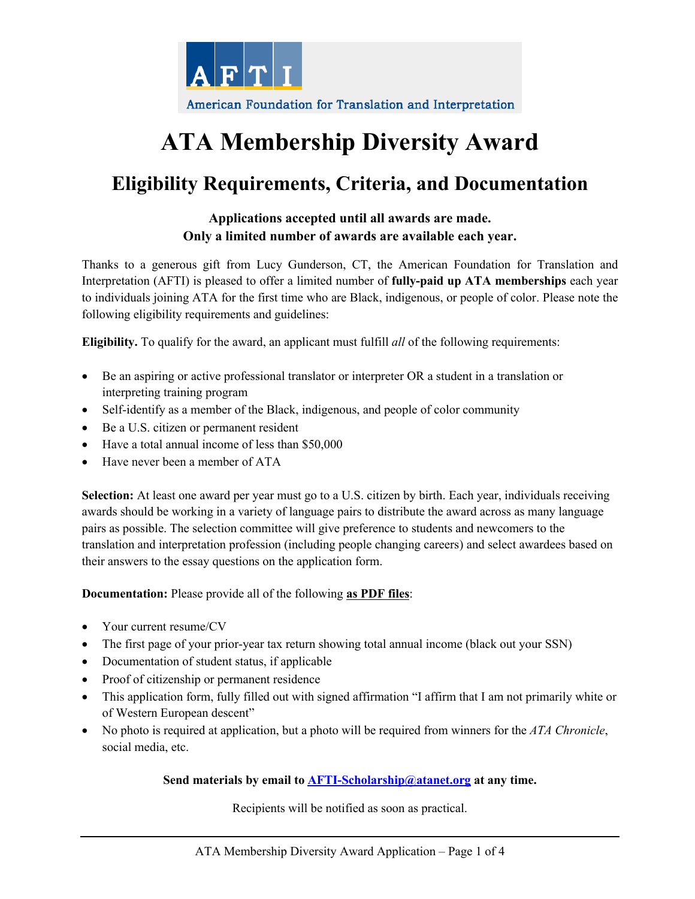

# **ATA Membership Diversity Award**

## **Eligibility Requirements, Criteria, and Documentation**

### **Applications accepted until all awards are made. Only a limited number of awards are available each year.**

Thanks to a generous gift from Lucy Gunderson, CT, the American Foundation for Translation and Interpretation (AFTI) is pleased to offer a limited number of **fully-paid up ATA memberships** each year to individuals joining ATA for the first time who are Black, indigenous, or people of color. Please note the following eligibility requirements and guidelines:

**Eligibility.** To qualify for the award, an applicant must fulfill *all* of the following requirements:

- Be an aspiring or active professional translator or interpreter OR a student in a translation or interpreting training program
- Self-identify as a member of the Black, indigenous, and people of color community
- Be a U.S. citizen or permanent resident
- Have a total annual income of less than \$50,000
- Have never been a member of ATA

**Selection:** At least one award per year must go to a U.S. citizen by birth. Each year, individuals receiving awards should be working in a variety of language pairs to distribute the award across as many language pairs as possible. The selection committee will give preference to students and newcomers to the translation and interpretation profession (including people changing careers) and select awardees based on their answers to the essay questions on the application form.

#### **Documentation:** Please provide all of the following **as PDF files**:

- Your current resume/CV
- The first page of your prior-year tax return showing total annual income (black out your SSN)
- Documentation of student status, if applicable
- Proof of citizenship or permanent residence
- This application form, fully filled out with signed affirmation "I affirm that I am not primarily white or of Western European descent"
- No photo is required at application, but a photo will be required from winners for the *ATA Chronicle*, social media, etc.

#### **Send materials by email to AFTI-Scholarship@atanet.org at any time.**

Recipients will be notified as soon as practical.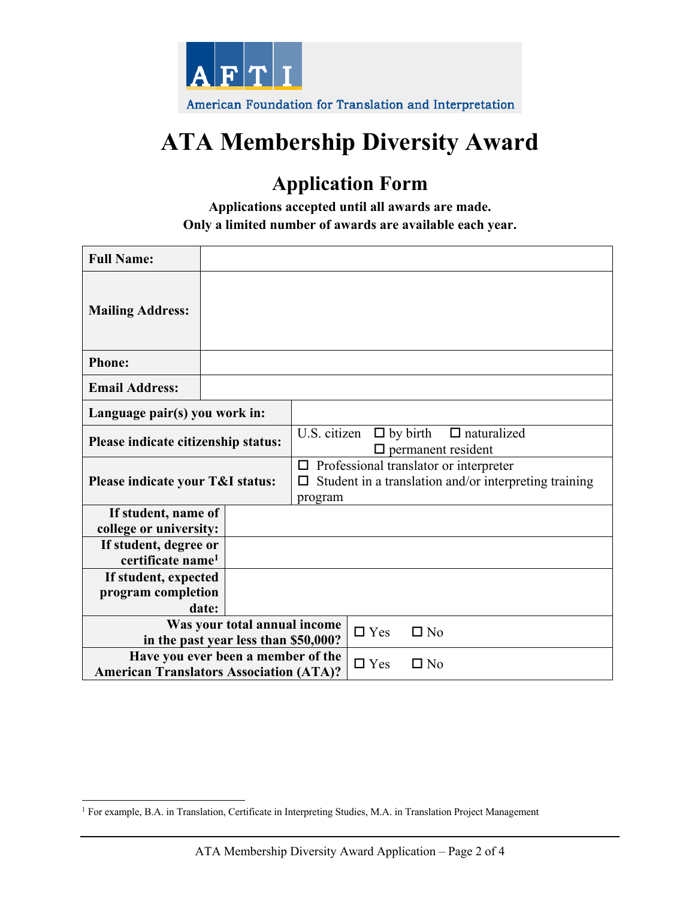

# **ATA Membership Diversity Award**

## **Application Form**

**Applications accepted until all awards are made. Only a limited number of awards are available each year.** 

| <b>Full Name:</b>                                                                    |  |                                                                                                                 |            |              |
|--------------------------------------------------------------------------------------|--|-----------------------------------------------------------------------------------------------------------------|------------|--------------|
| <b>Mailing Address:</b>                                                              |  |                                                                                                                 |            |              |
| <b>Phone:</b>                                                                        |  |                                                                                                                 |            |              |
| <b>Email Address:</b>                                                                |  |                                                                                                                 |            |              |
| Language pair(s) you work in:                                                        |  |                                                                                                                 |            |              |
| Please indicate citizenship status:                                                  |  | U.S. citizen<br>$\Box$ by birth<br>$\Box$ naturalized<br>$\Box$ permanent resident                              |            |              |
| Please indicate your T&I status:                                                     |  | Professional translator or interpreter<br>□<br>Student in a translation and/or interpreting training<br>program |            |              |
| If student, name of<br>college or university:                                        |  |                                                                                                                 |            |              |
| If student, degree or<br>certificate name <sup>1</sup>                               |  |                                                                                                                 |            |              |
| If student, expected<br>program completion<br>date:                                  |  |                                                                                                                 |            |              |
| Was your total annual income<br>in the past year less than \$50,000?                 |  |                                                                                                                 | $\Box$ Yes | $\Box$ No    |
| Have you ever been a member of the<br><b>American Translators Association (ATA)?</b> |  |                                                                                                                 | $\Box$ Yes | $\square$ No |

<sup>1</sup> For example, B.A. in Translation, Certificate in Interpreting Studies, M.A. in Translation Project Management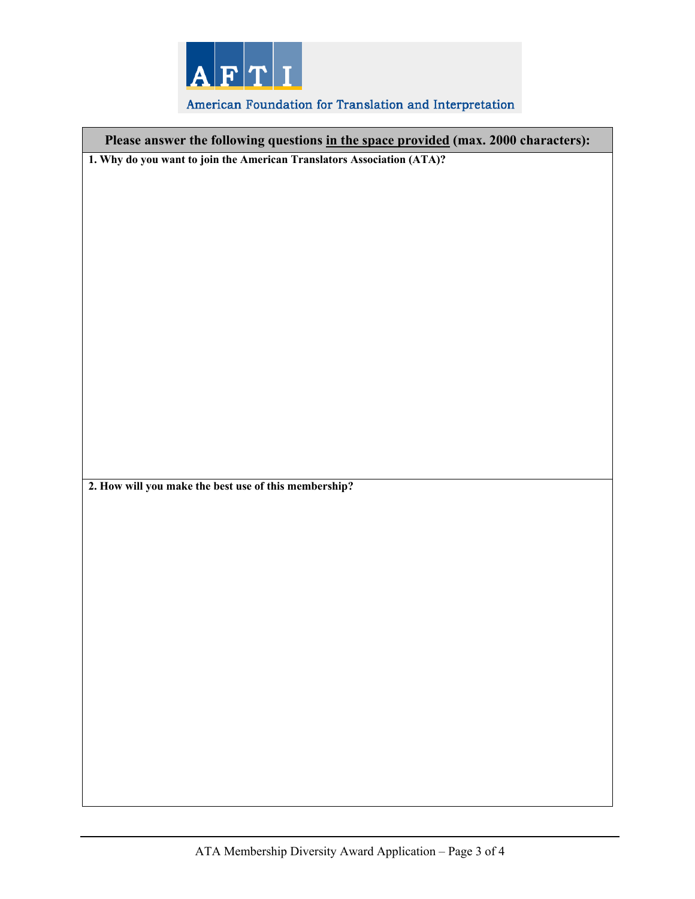

### American Foundation for Translation and Interpretation

| Please answer the following questions in the space provided (max. 2000 characters): |  |  |  |  |
|-------------------------------------------------------------------------------------|--|--|--|--|
| 1. Why do you want to join the American Translators Association (ATA)?              |  |  |  |  |
|                                                                                     |  |  |  |  |
|                                                                                     |  |  |  |  |
|                                                                                     |  |  |  |  |
|                                                                                     |  |  |  |  |
|                                                                                     |  |  |  |  |
|                                                                                     |  |  |  |  |
|                                                                                     |  |  |  |  |
|                                                                                     |  |  |  |  |
|                                                                                     |  |  |  |  |
|                                                                                     |  |  |  |  |
|                                                                                     |  |  |  |  |
|                                                                                     |  |  |  |  |
|                                                                                     |  |  |  |  |
| 2. How will you make the best use of this membership?                               |  |  |  |  |
|                                                                                     |  |  |  |  |
|                                                                                     |  |  |  |  |
|                                                                                     |  |  |  |  |
|                                                                                     |  |  |  |  |
|                                                                                     |  |  |  |  |
|                                                                                     |  |  |  |  |
|                                                                                     |  |  |  |  |
|                                                                                     |  |  |  |  |
|                                                                                     |  |  |  |  |
|                                                                                     |  |  |  |  |
|                                                                                     |  |  |  |  |
|                                                                                     |  |  |  |  |
|                                                                                     |  |  |  |  |